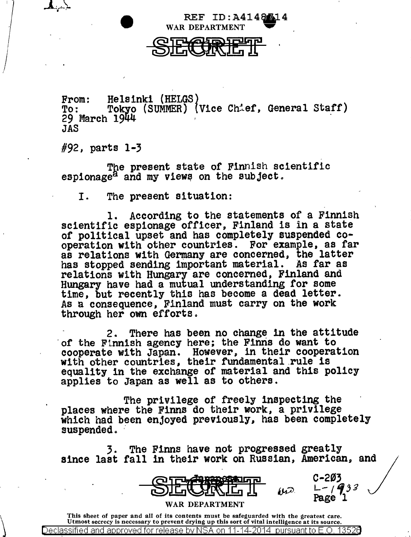

From: Helsinki (HELGS)<br>To: Tokyo (SUMMER) (Vice Chief, General Staff)<br>29 March 1944 JAS

#92, parts 1-3

 $\setminus$ 

The present state of Finnish scientific espionage<sup>2</sup> and my views on the subject.

I. The present situation:

1. According to the statements of a Finnish scientific espionage officer, Finland is in a state or political upset and has completely suspended cooperation with other countries. For example, as far as relations with Germany are concerned, the latter has stopped sending important material. As far as has stopped sending important material. relations with Hungary are concerned, Finland and Hungary have had a mutual understanding for some time, but recently this has become a dead letter. As a consequence, Finland must carry on the work through her own efforts.

2. There has been no change 1n the attitude of the Finnish agency here; the Finns do want to cooperate with Japan. However, in their cooperation with other countries, their fundamental rule is equality in the exchange or material and this policy applies to Japan as well as to others.

The privilege of freely inspecting the<br>places where the Finns do their work, a privilege which had been enjoyed previously, has been completely suspended.

3. The Finns have not progressed greatly<br>since last fall in their work on Russian, American, and



Page

This sheet of paper and all of its contents must be safeguarded with the greatest care. Utmost secrecy is necessary to prevent drying up this sort of vital intelligence at its source. Declassified and approved for release by NSA on 1